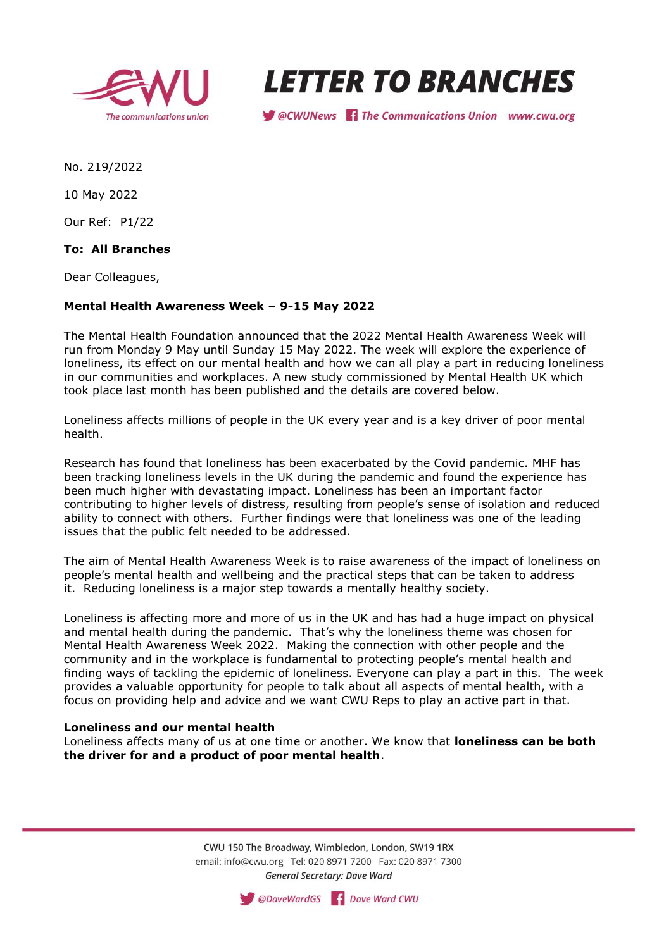



Secuvery of the Communications Union www.cwu.org

No. 219/2022

10 May 2022

Our Ref: P1/22

**To: All Branches**

Dear Colleagues,

## **Mental Health Awareness Week – 9-15 May 2022**

The Mental Health Foundation announced that the 2022 Mental Health Awareness Week will run from Monday 9 May until Sunday 15 May 2022. The week will explore the experience of loneliness, its effect on our mental health and how we can all play a part in reducing loneliness in our communities and workplaces. A new study commissioned by Mental Health UK which took place last month has been published and the details are covered below.

Loneliness affects millions of people in the UK every year and is a key driver of poor mental health.

Research has found that loneliness has been exacerbated by the Covid pandemic. MHF has been tracking loneliness levels in the UK during the pandemic and found the experience has been much higher with devastating impact. Loneliness has been an important factor contributing to higher levels of distress, resulting from people's sense of isolation and reduced ability to connect with others. Further findings were that loneliness was one of the leading issues that the public felt needed to be addressed.

The aim of Mental Health Awareness Week is to raise awareness of the impact of loneliness on people's mental health and wellbeing and the practical steps that can be taken to address it. Reducing loneliness is a major step towards a mentally healthy society.

Loneliness is affecting more and more of us in the UK and has had a huge impact on physical and mental health during the pandemic. That's why the loneliness theme was chosen for Mental Health Awareness Week 2022. Making the connection with other people and the community and in the workplace is fundamental to protecting people's mental health and finding ways of tackling the epidemic of loneliness. Everyone can play a part in this. The week provides a valuable opportunity for people to talk about all aspects of mental health, with a focus on providing help and advice and we want CWU Reps to play an active part in that.

#### **Loneliness and our mental health**

Loneliness affects many of us at one time or another. We know that **loneliness can be both the driver for and a product of poor mental health**.

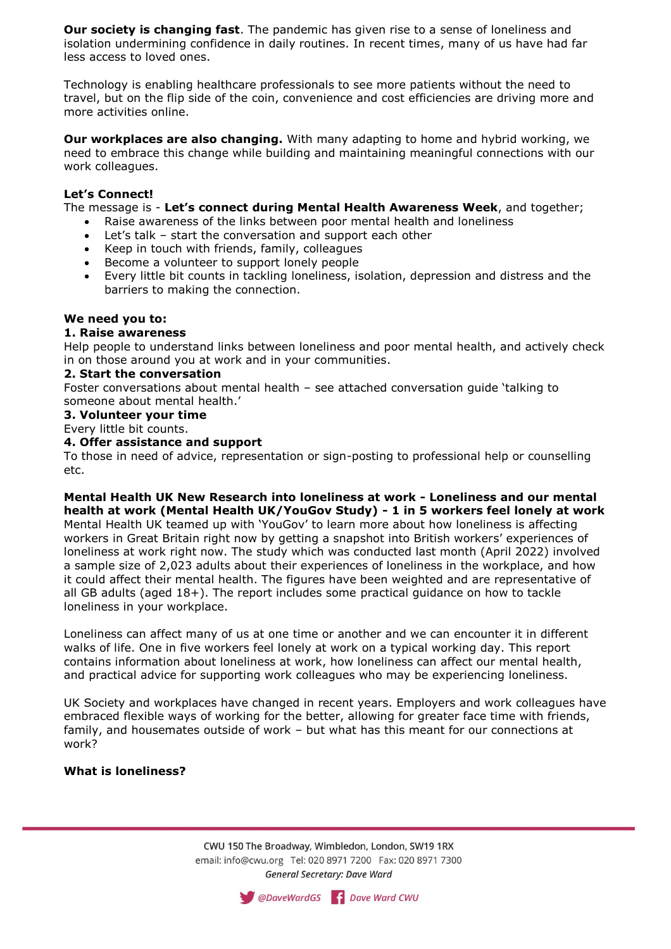**Our society is changing fast**. The pandemic has given rise to a sense of loneliness and isolation undermining confidence in daily routines. In recent times, many of us have had far less access to loved ones.

Technology is enabling healthcare professionals to see more patients without the need to travel, but on the flip side of the coin, convenience and cost efficiencies are driving more and more activities online.

**Our workplaces are also changing.** With many adapting to home and hybrid working, we need to embrace this change while building and maintaining meaningful connections with our work colleagues.

# **Let's Connect!**

The message is - **Let's connect during Mental Health Awareness Week**, and together;

- Raise awareness of the links between poor mental health and loneliness
- Let's talk start the conversation and support each other
- Keep in touch with friends, family, colleagues
- Become a volunteer to support lonely people
- Every little bit counts in tackling loneliness, isolation, depression and distress and the barriers to making the connection.

# **We need you to:**

## **1. Raise awareness**

Help people to understand links between loneliness and poor mental health, and actively check in on those around you at work and in your communities.

## **2. Start the conversation**

Foster conversations about mental health – see attached conversation guide 'talking to someone about mental health.'

**3. Volunteer your time**

Every little bit counts.

## **4. Offer assistance and support**

To those in need of advice, representation or sign-posting to professional help or counselling etc.

**Mental Health UK New Research into loneliness at work - Loneliness and our mental health at work (Mental Health UK/YouGov Study) - 1 in 5 workers feel lonely at work**  Mental Health UK teamed up with 'YouGov' to learn more about how loneliness is affecting workers in Great Britain right now by getting a snapshot into British workers' experiences of loneliness at work right now. The study which was conducted last month (April 2022) involved a sample size of 2,023 adults about their experiences of loneliness in the workplace, and how it could affect their mental health. The figures have been weighted and are representative of all GB adults (aged 18+). The report includes some practical guidance on how to tackle loneliness in your workplace.

Loneliness can affect many of us at one time or another and we can encounter it in different walks of life. One in five workers feel lonely at work on a typical working day. This report contains information about loneliness at work, how loneliness can affect our mental health, and practical advice for supporting work colleagues who may be experiencing loneliness.

UK Society and workplaces have changed in recent years. Employers and work colleagues have embraced flexible ways of working for the better, allowing for greater face time with friends, family, and housemates outside of work – but what has this meant for our connections at work?

## **What is loneliness?**

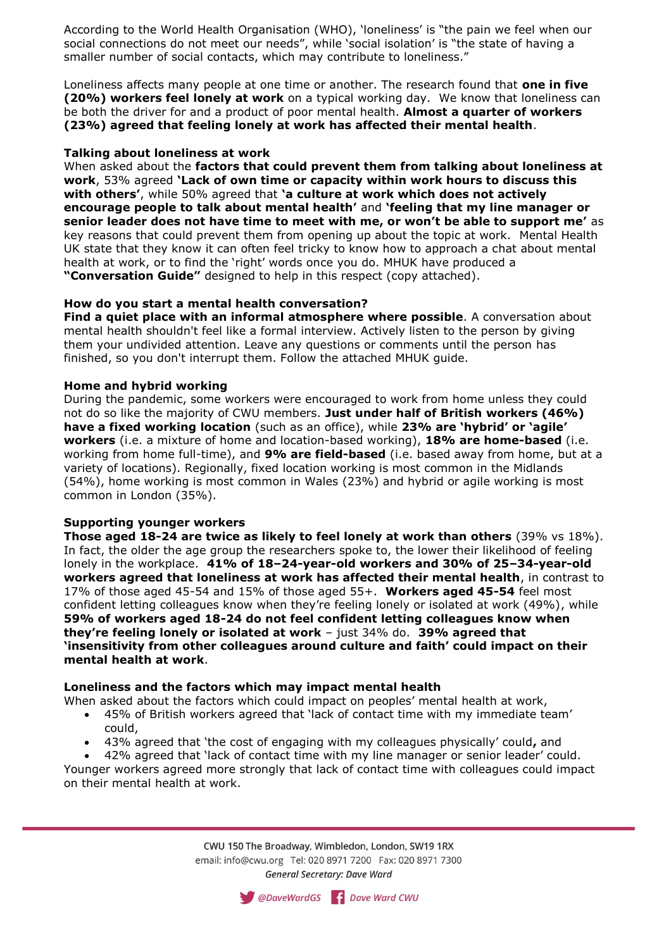According to the World Health Organisation (WHO), 'loneliness' is "the pain we feel when our social connections do not meet our needs", while 'social isolation' is "the state of having a smaller number of social contacts, which may contribute to loneliness."

Loneliness affects many people at one time or another. The research found that **one in five (20%) workers feel lonely at work** on a typical working day. We know that loneliness can be both the driver for and a product of poor mental health. **Almost a quarter of workers (23%) agreed that feeling lonely at work has affected their mental health**.

## **Talking about loneliness at work**

When asked about the **factors that could prevent them from talking about loneliness at work**, 53% agreed **'Lack of own time or capacity within work hours to discuss this with others'**, while 50% agreed that **'a culture at work which does not actively encourage people to talk about mental health'** and **'feeling that my line manager or senior leader does not have time to meet with me, or won't be able to support me'** as key reasons that could prevent them from opening up about the topic at work. Mental Health UK state that they know it can often feel tricky to know how to approach a chat about mental health at work, or to find the 'right' words once you do. MHUK have produced a **"Conversation Guide"** designed to help in this respect (copy attached).

# **How do you start a mental health conversation?**

**Find a quiet place with an informal atmosphere where possible**. A conversation about mental health shouldn't feel like a formal interview. Actively listen to the person by giving them your undivided attention. Leave any questions or comments until the person has finished, so you don't interrupt them. Follow the attached MHUK guide.

# **Home and hybrid working**

During the pandemic, some workers were encouraged to work from home unless they could not do so like the majority of CWU members. **Just under half of British workers (46%) have a fixed working location** (such as an office), while **23% are 'hybrid' or 'agile' workers** (i.e. a mixture of home and location-based working), **18% are home-based** (i.e. working from home full-time), and **9% are field-based** (i.e. based away from home, but at a variety of locations). Regionally, fixed location working is most common in the Midlands (54%), home working is most common in Wales (23%) and hybrid or agile working is most common in London (35%).

## **Supporting younger workers**

**Those aged 18-24 are twice as likely to feel lonely at work than others** (39% vs 18%). In fact, the older the age group the researchers spoke to, the lower their likelihood of feeling lonely in the workplace. **41% of 18–24-year-old workers and 30% of 25–34-year-old workers agreed that loneliness at work has affected their mental health**, in contrast to 17% of those aged 45-54 and 15% of those aged 55+. **Workers aged 45-54** feel most confident letting colleagues know when they're feeling lonely or isolated at work (49%), while **59% of workers aged 18-24 do not feel confident letting colleagues know when they're feeling lonely or isolated at work** – just 34% do. **39% agreed that 'insensitivity from other colleagues around culture and faith' could impact on their mental health at work**.

## **Loneliness and the factors which may impact mental health**

When asked about the factors which could impact on peoples' mental health at work,

- 45% of British workers agreed that 'lack of contact time with my immediate team' could,
- 43% agreed that 'the cost of engaging with my colleagues physically' could**,** and
- 42% agreed that 'lack of contact time with my line manager or senior leader' could.

Younger workers agreed more strongly that lack of contact time with colleagues could impact on their mental health at work.